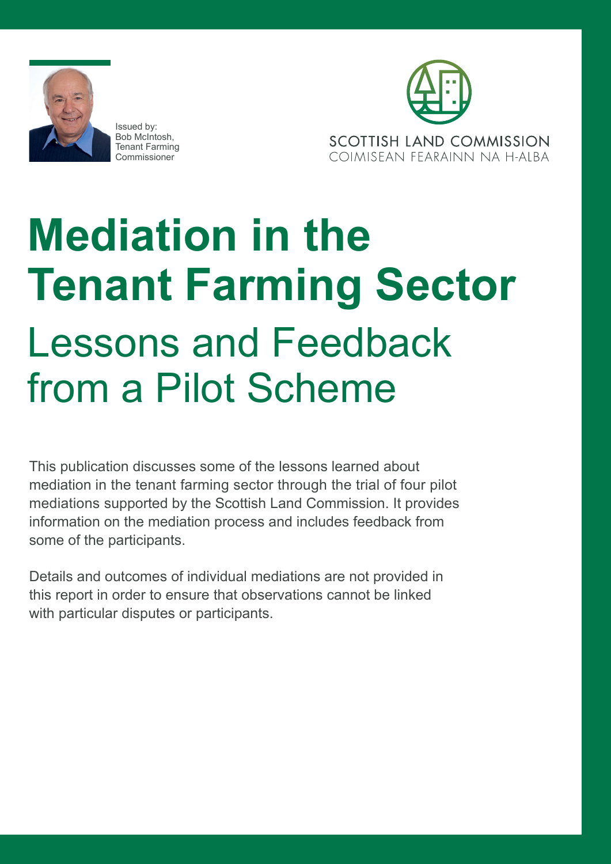

Issued by: Bob McIntosh, Tenant Farming Commissioner



# **Mediation in the Tenant Farming Sector**  Lessons and Feedback from a Pilot Scheme

This publication discusses some of the lessons learned about mediation in the tenant farming sector through the trial of four pilot mediations supported by the Scottish Land Commission. It provides information on the mediation process and includes feedback from some of the participants.

Details and outcomes of individual mediations are not provided in this report in order to ensure that observations cannot be linked with particular disputes or participants.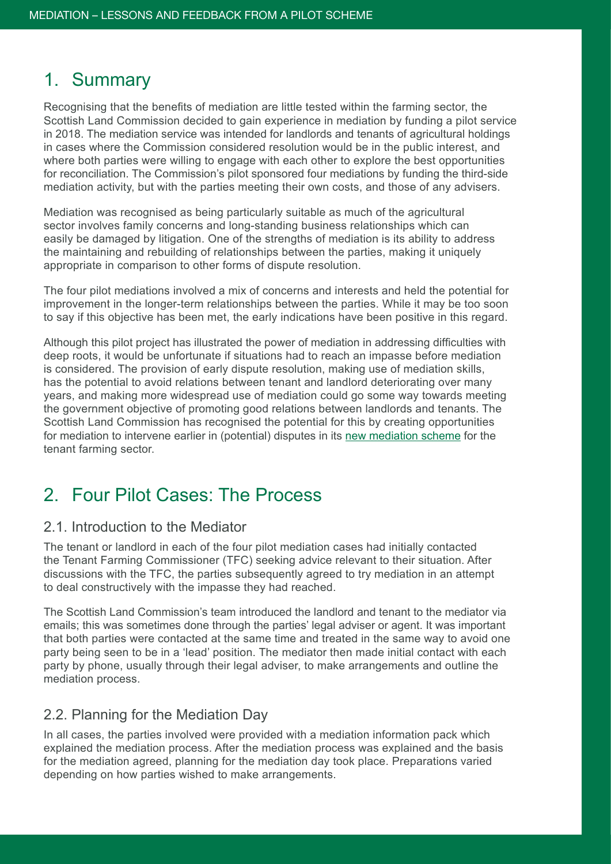## 1. Summary

Recognising that the benefits of mediation are little tested within the farming sector, the Scottish Land Commission decided to gain experience in mediation by funding a pilot service in 2018. The mediation service was intended for landlords and tenants of agricultural holdings in cases where the Commission considered resolution would be in the public interest, and where both parties were willing to engage with each other to explore the best opportunities for reconciliation. The Commission's pilot sponsored four mediations by funding the third-side mediation activity, but with the parties meeting their own costs, and those of any advisers.

Mediation was recognised as being particularly suitable as much of the agricultural sector involves family concerns and long-standing business relationships which can easily be damaged by litigation. One of the strengths of mediation is its ability to address the maintaining and rebuilding of relationships between the parties, making it uniquely appropriate in comparison to other forms of dispute resolution.

The four pilot mediations involved a mix of concerns and interests and held the potential for improvement in the longer-term relationships between the parties. While it may be too soon to say if this objective has been met, the early indications have been positive in this regard.

Although this pilot project has illustrated the power of mediation in addressing difficulties with deep roots, it would be unfortunate if situations had to reach an impasse before mediation is considered. The provision of early dispute resolution, making use of mediation skills, has the potential to avoid relations between tenant and landlord deteriorating over many years, and making more widespread use of mediation could go some way towards meeting the government objective of promoting good relations between landlords and tenants. The Scottish Land Commission has recognised the potential for this by creating opportunities for mediation to intervene earlier in (potential) disputes in its [new mediation scheme](https://www.landcommission.gov.scot/our-work/tenant-farming/mediation-scheme) for the tenant farming sector.

## 2. Four Pilot Cases: The Process

#### 2.1. Introduction to the Mediator

The tenant or landlord in each of the four pilot mediation cases had initially contacted the Tenant Farming Commissioner (TFC) seeking advice relevant to their situation. After discussions with the TFC, the parties subsequently agreed to try mediation in an attempt to deal constructively with the impasse they had reached.

The Scottish Land Commission's team introduced the landlord and tenant to the mediator via emails; this was sometimes done through the parties' legal adviser or agent. It was important that both parties were contacted at the same time and treated in the same way to avoid one party being seen to be in a 'lead' position. The mediator then made initial contact with each party by phone, usually through their legal adviser, to make arrangements and outline the mediation process.

#### 2.2. Planning for the Mediation Day

In all cases, the parties involved were provided with a mediation information pack which explained the mediation process. After the mediation process was explained and the basis for the mediation agreed, planning for the mediation day took place. Preparations varied depending on how parties wished to make arrangements.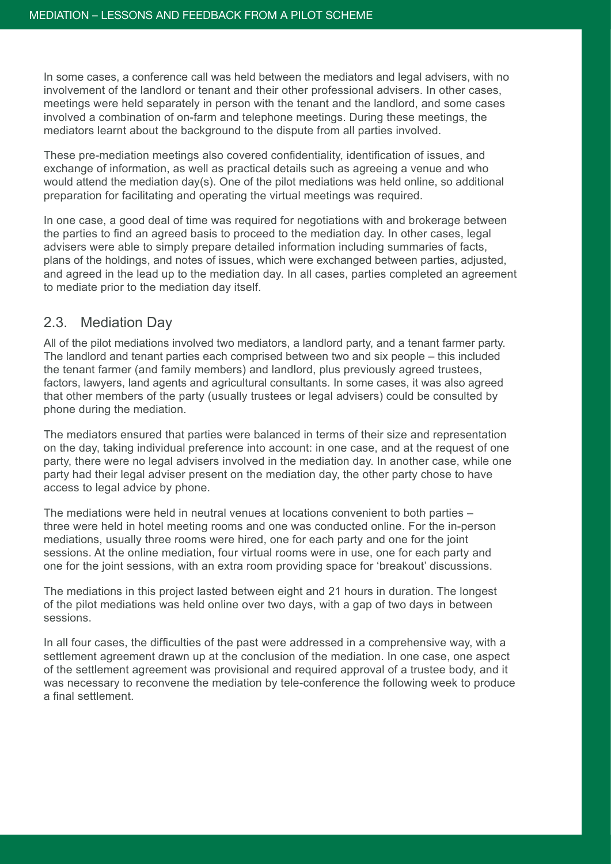In some cases, a conference call was held between the mediators and legal advisers, with no involvement of the landlord or tenant and their other professional advisers. In other cases, meetings were held separately in person with the tenant and the landlord, and some cases involved a combination of on-farm and telephone meetings. During these meetings, the mediators learnt about the background to the dispute from all parties involved.

These pre-mediation meetings also covered confidentiality, identification of issues, and exchange of information, as well as practical details such as agreeing a venue and who would attend the mediation day(s). One of the pilot mediations was held online, so additional preparation for facilitating and operating the virtual meetings was required.

In one case, a good deal of time was required for negotiations with and brokerage between the parties to find an agreed basis to proceed to the mediation day. In other cases, legal advisers were able to simply prepare detailed information including summaries of facts, plans of the holdings, and notes of issues, which were exchanged between parties, adjusted, and agreed in the lead up to the mediation day. In all cases, parties completed an agreement to mediate prior to the mediation day itself.

#### 2.3. Mediation Day

All of the pilot mediations involved two mediators, a landlord party, and a tenant farmer party. The landlord and tenant parties each comprised between two and six people – this included the tenant farmer (and family members) and landlord, plus previously agreed trustees, factors, lawyers, land agents and agricultural consultants. In some cases, it was also agreed that other members of the party (usually trustees or legal advisers) could be consulted by phone during the mediation.

The mediators ensured that parties were balanced in terms of their size and representation on the day, taking individual preference into account: in one case, and at the request of one party, there were no legal advisers involved in the mediation day. In another case, while one party had their legal adviser present on the mediation day, the other party chose to have access to legal advice by phone.

The mediations were held in neutral venues at locations convenient to both parties – three were held in hotel meeting rooms and one was conducted online. For the in-person mediations, usually three rooms were hired, one for each party and one for the joint sessions. At the online mediation, four virtual rooms were in use, one for each party and one for the joint sessions, with an extra room providing space for 'breakout' discussions.

The mediations in this project lasted between eight and 21 hours in duration. The longest of the pilot mediations was held online over two days, with a gap of two days in between sessions.

In all four cases, the difficulties of the past were addressed in a comprehensive way, with a settlement agreement drawn up at the conclusion of the mediation. In one case, one aspect of the settlement agreement was provisional and required approval of a trustee body, and it was necessary to reconvene the mediation by tele-conference the following week to produce a final settlement.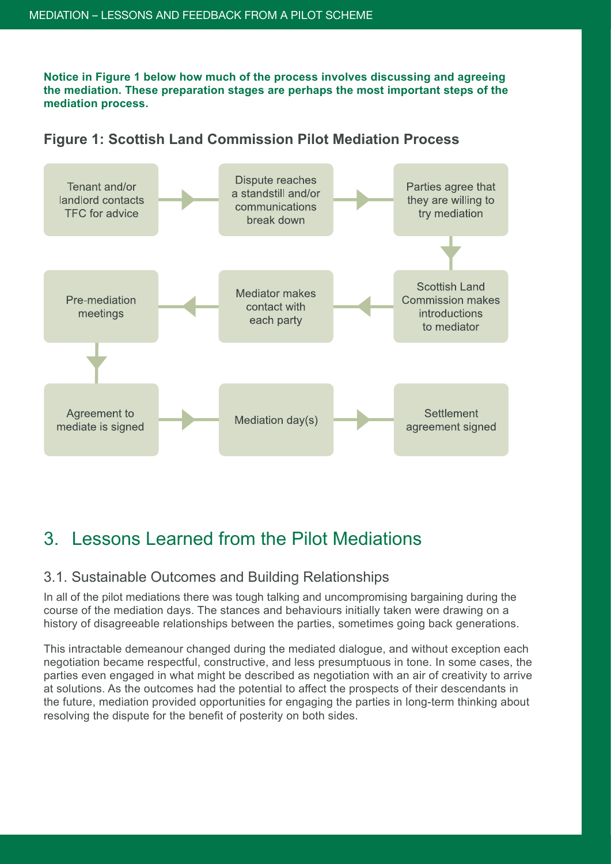**Notice in Figure 1 below how much of the process involves discussing and agreeing the mediation. These preparation stages are perhaps the most important steps of the mediation process.**



**Figure 1: Scottish Land Commission Pilot Mediation Process**

# 3. Lessons Learned from the Pilot Mediations

#### 3.1. Sustainable Outcomes and Building Relationships

In all of the pilot mediations there was tough talking and uncompromising bargaining during the course of the mediation days. The stances and behaviours initially taken were drawing on a history of disagreeable relationships between the parties, sometimes going back generations.

This intractable demeanour changed during the mediated dialogue, and without exception each negotiation became respectful, constructive, and less presumptuous in tone. In some cases, the parties even engaged in what might be described as negotiation with an air of creativity to arrive at solutions. As the outcomes had the potential to affect the prospects of their descendants in the future, mediation provided opportunities for engaging the parties in long-term thinking about resolving the dispute for the benefit of posterity on both sides.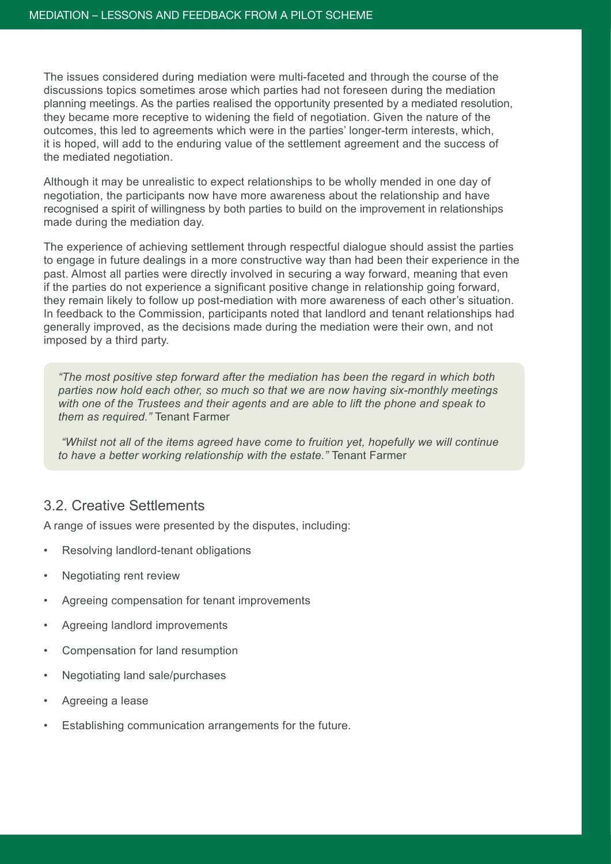The issues considered during mediation were multi-faceted and through the course of the discussions topics sometimes arose which parties had not foreseen during the mediation planning meetings. As the parties realised the opportunity presented by a mediated resolution, they became more receptive to widening the field of negotiation. Given the nature of the outcomes, this led to agreements which were in the parties' longer-term interests, which, it is hoped, will add to the enduring value of the settlement agreement and the success of the mediated negotiation.

Although it may be unrealistic to expect relationships to be wholly mended in one day of negotiation, the participants now have more awareness about the relationship and have recognised a spirit of willingness by both parties to build on the improvement in relationships made during the mediation day.

The experience of achieving settlement through respectful dialogue should assist the parties to engage in future dealings in a more constructive way than had been their experience in the past. Almost all parties were directly involved in securing a way forward, meaning that even if the parties do not experience a significant positive change in relationship going forward, they remain likely to follow up post-mediation with more awareness of each other's situation. In feedback to the Commission, participants noted that landlord and tenant relationships had generally improved, as the decisions made during the mediation were their own, and not imposed by a third party.

*"The most positive step forward after the mediation has been the regard in which both parties now hold each other, so much so that we are now having six-monthly meetings with one of the Trustees and their agents and are able to lift the phone and speak to them as required."* Tenant Farmer

 *"Whilst not all of the items agreed have come to fruition yet, hopefully we will continue to have a better working relationship with the estate."* Tenant Farmer

#### 3.2. Creative Settlements

A range of issues were presented by the disputes, including:

- Resolving landlord-tenant obligations
- Negotiating rent review
- Agreeing compensation for tenant improvements
- Agreeing landlord improvements
- Compensation for land resumption
- Negotiating land sale/purchases
- Agreeing a lease
- Establishing communication arrangements for the future.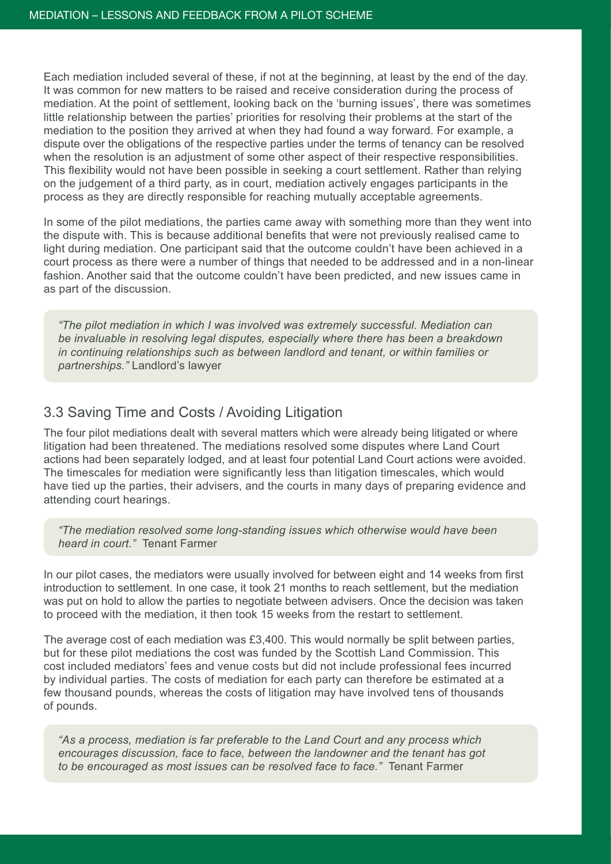Each mediation included several of these, if not at the beginning, at least by the end of the day. It was common for new matters to be raised and receive consideration during the process of mediation. At the point of settlement, looking back on the 'burning issues', there was sometimes little relationship between the parties' priorities for resolving their problems at the start of the mediation to the position they arrived at when they had found a way forward. For example, a dispute over the obligations of the respective parties under the terms of tenancy can be resolved when the resolution is an adjustment of some other aspect of their respective responsibilities. This flexibility would not have been possible in seeking a court settlement. Rather than relying on the judgement of a third party, as in court, mediation actively engages participants in the process as they are directly responsible for reaching mutually acceptable agreements.

In some of the pilot mediations, the parties came away with something more than they went into the dispute with. This is because additional benefits that were not previously realised came to light during mediation. One participant said that the outcome couldn't have been achieved in a court process as there were a number of things that needed to be addressed and in a non-linear fashion. Another said that the outcome couldn't have been predicted, and new issues came in as part of the discussion.

*"The pilot mediation in which I was involved was extremely successful. Mediation can be invaluable in resolving legal disputes, especially where there has been a breakdown in continuing relationships such as between landlord and tenant, or within families or partnerships."* Landlord's lawyer

#### 3.3 Saving Time and Costs / Avoiding Litigation

The four pilot mediations dealt with several matters which were already being litigated or where litigation had been threatened. The mediations resolved some disputes where Land Court actions had been separately lodged, and at least four potential Land Court actions were avoided. The timescales for mediation were significantly less than litigation timescales, which would have tied up the parties, their advisers, and the courts in many days of preparing evidence and attending court hearings.

*"The mediation resolved some long-standing issues which otherwise would have been heard in court."* Tenant Farmer

In our pilot cases, the mediators were usually involved for between eight and 14 weeks from first introduction to settlement. In one case, it took 21 months to reach settlement, but the mediation was put on hold to allow the parties to negotiate between advisers. Once the decision was taken to proceed with the mediation, it then took 15 weeks from the restart to settlement.

The average cost of each mediation was £3,400. This would normally be split between parties, but for these pilot mediations the cost was funded by the Scottish Land Commission. This cost included mediators' fees and venue costs but did not include professional fees incurred by individual parties. The costs of mediation for each party can therefore be estimated at a few thousand pounds, whereas the costs of litigation may have involved tens of thousands of pounds.

*"As a process, mediation is far preferable to the Land Court and any process which encourages discussion, face to face, between the landowner and the tenant has got to be encouraged as most issues can be resolved face to face."* Tenant Farmer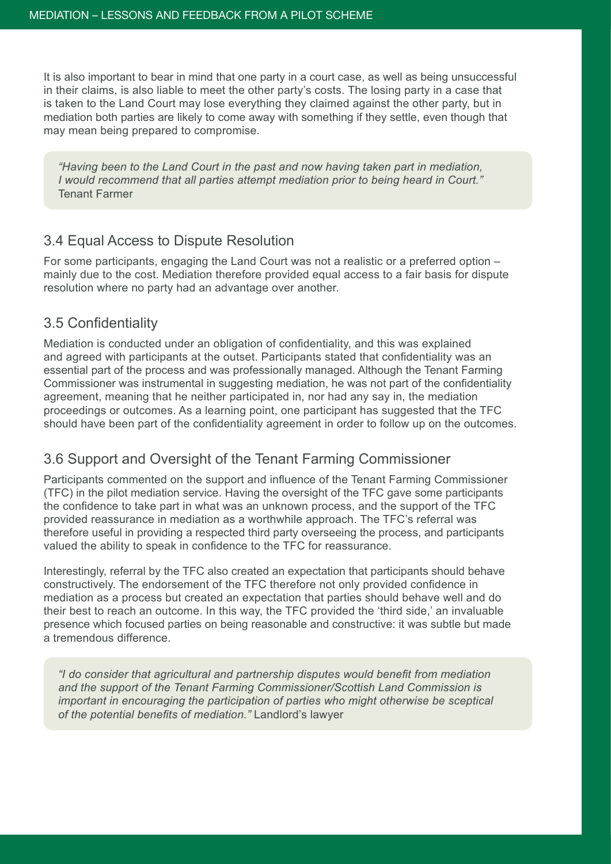It is also important to bear in mind that one party in a court case, as well as being unsuccessful in their claims, is also liable to meet the other party's costs. The losing party in a case that is taken to the Land Court may lose everything they claimed against the other party, but in mediation both parties are likely to come away with something if they settle, even though that may mean being prepared to compromise.

*"Having been to the Land Court in the past and now having taken part in mediation, I would recommend that all parties attempt mediation prior to being heard in Court."*  Tenant Farmer

#### 3.4 Equal Access to Dispute Resolution

For some participants, engaging the Land Court was not a realistic or a preferred option – mainly due to the cost. Mediation therefore provided equal access to a fair basis for dispute resolution where no party had an advantage over another.

#### 3.5 Confidentiality

Mediation is conducted under an obligation of confidentiality, and this was explained and agreed with participants at the outset. Participants stated that confidentiality was an essential part of the process and was professionally managed. Although the Tenant Farming Commissioner was instrumental in suggesting mediation, he was not part of the confidentiality agreement, meaning that he neither participated in, nor had any say in, the mediation proceedings or outcomes. As a learning point, one participant has suggested that the TFC should have been part of the confidentiality agreement in order to follow up on the outcomes.

### 3.6 Support and Oversight of the Tenant Farming Commissioner

Participants commented on the support and influence of the Tenant Farming Commissioner (TFC) in the pilot mediation service. Having the oversight of the TFC gave some participants the confidence to take part in what was an unknown process, and the support of the TFC provided reassurance in mediation as a worthwhile approach. The TFC's referral was therefore useful in providing a respected third party overseeing the process, and participants valued the ability to speak in confidence to the TFC for reassurance.

Interestingly, referral by the TFC also created an expectation that participants should behave constructively. The endorsement of the TFC therefore not only provided confidence in mediation as a process but created an expectation that parties should behave well and do their best to reach an outcome. In this way, the TFC provided the 'third side,' an invaluable presence which focused parties on being reasonable and constructive: it was subtle but made a tremendous difference.

*"I do consider that agricultural and partnership disputes would benefit from mediation and the support of the Tenant Farming Commissioner/Scottish Land Commission is important in encouraging the participation of parties who might otherwise be sceptical of the potential benefits of mediation."* Landlord's lawyer